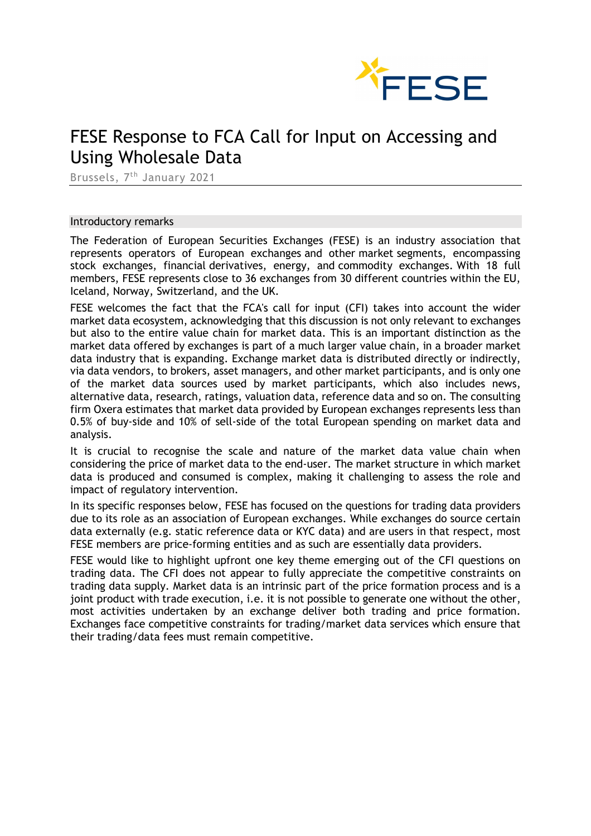

# FESE Response to FCA Call for Input on Accessing and Using Wholesale Data

Brussels, 7th January 2021

#### Introductory remarks

The Federation of European Securities Exchanges (FESE) is an industry association that represents operators of European exchanges and other market segments, encompassing stock exchanges, financial derivatives, energy, and commodity exchanges. With 18 full members, FESE represents close to 36 exchanges from 30 different countries within the EU, Iceland, Norway, Switzerland, and the UK.

FESE welcomes the fact that the FCA's call for input (CFI) takes into account the wider market data ecosystem, acknowledging that this discussion is not only relevant to exchanges but also to the entire value chain for market data. This is an important distinction as the market data offered by exchanges is part of a much larger value chain, in a broader market data industry that is expanding. Exchange market data is distributed directly or indirectly, via data vendors, to brokers, asset managers, and other market participants, and is only one of the market data sources used by market participants, which also includes news, alternative data, research, ratings, valuation data, reference data and so on. The consulting firm Oxera estimates that market data provided by European exchanges represents less than 0.5% of buy-side and 10% of sell-side of the total European spending on market data and analysis.

It is crucial to recognise the scale and nature of the market data value chain when considering the price of market data to the end-user. The market structure in which market data is produced and consumed is complex, making it challenging to assess the role and impact of regulatory intervention.

In its specific responses below, FESE has focused on the questions for trading data providers due to its role as an association of European exchanges. While exchanges do source certain data externally (e.g. static reference data or KYC data) and are users in that respect, most FESE members are price-forming entities and as such are essentially data providers.

FESE would like to highlight upfront one key theme emerging out of the CFI questions on trading data. The CFI does not appear to fully appreciate the competitive constraints on trading data supply. Market data is an intrinsic part of the price formation process and is a joint product with trade execution, i.e. it is not possible to generate one without the other, most activities undertaken by an exchange deliver both trading and price formation. Exchanges face competitive constraints for trading/market data services which ensure that their trading/data fees must remain competitive.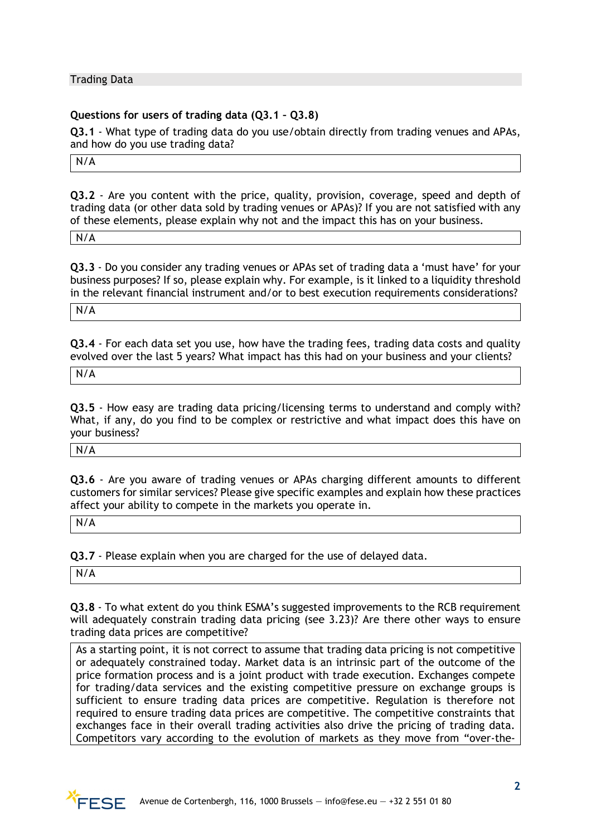Trading Data

### **Questions for users of trading data (Q3.1 – Q3.8)**

**Q3.1** - What type of trading data do you use/obtain directly from trading venues and APAs, and how do you use trading data?

N/A

**Q3.2** - Are you content with the price, quality, provision, coverage, speed and depth of trading data (or other data sold by trading venues or APAs)? If you are not satisfied with any of these elements, please explain why not and the impact this has on your business.

N/A

**Q3.3** - Do you consider any trading venues or APAs set of trading data a 'must have' for your business purposes? If so, please explain why. For example, is it linked to a liquidity threshold in the relevant financial instrument and/or to best execution requirements considerations?

N/A

**Q3.4** - For each data set you use, how have the trading fees, trading data costs and quality evolved over the last 5 years? What impact has this had on your business and your clients?

N/A

**Q3.5** - How easy are trading data pricing/licensing terms to understand and comply with? What, if any, do you find to be complex or restrictive and what impact does this have on your business?

N/A

**Q3.6** - Are you aware of trading venues or APAs charging different amounts to different customers for similar services? Please give specific examples and explain how these practices affect your ability to compete in the markets you operate in.

N/A

**Q3.7** - Please explain when you are charged for the use of delayed data.

N/A

**Q3.8** - To what extent do you think ESMA's suggested improvements to the RCB requirement will adequately constrain trading data pricing (see 3.23)? Are there other ways to ensure trading data prices are competitive?

As a starting point, it is not correct to assume that trading data pricing is not competitive or adequately constrained today. Market data is an intrinsic part of the outcome of the price formation process and is a joint product with trade execution. Exchanges compete for trading/data services and the existing competitive pressure on exchange groups is sufficient to ensure trading data prices are competitive. Regulation is therefore not required to ensure trading data prices are competitive. The competitive constraints that exchanges face in their overall trading activities also drive the pricing of trading data. Competitors vary according to the evolution of markets as they move from "over-the-

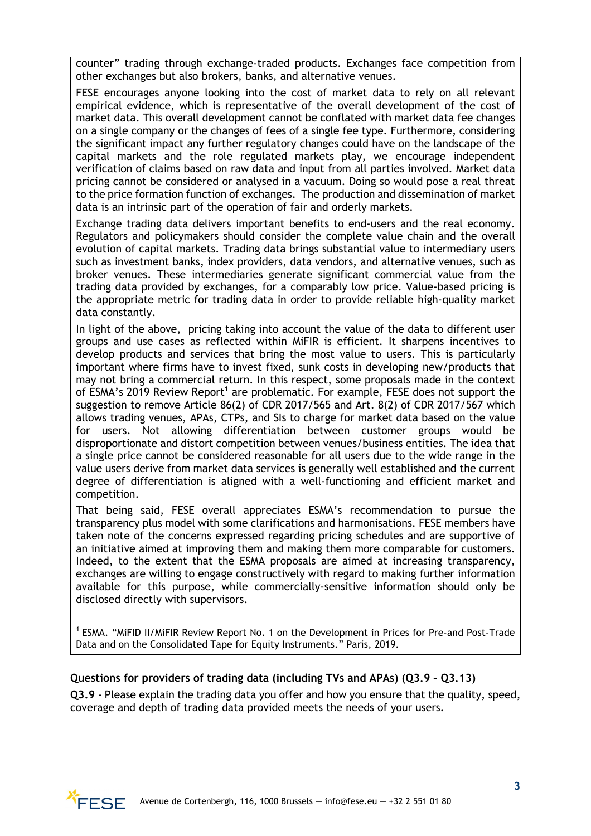counter" trading through exchange-traded products. Exchanges face competition from other exchanges but also brokers, banks, and alternative venues.

FESE encourages anyone looking into the cost of market data to rely on all relevant empirical evidence, which is representative of the overall development of the cost of market data. This overall development cannot be conflated with market data fee changes on a single company or the changes of fees of a single fee type. Furthermore, considering the significant impact any further regulatory changes could have on the landscape of the capital markets and the role regulated markets play, we encourage independent verification of claims based on raw data and input from all parties involved. Market data pricing cannot be considered or analysed in a vacuum. Doing so would pose a real threat to the price formation function of exchanges. The production and dissemination of market data is an intrinsic part of the operation of fair and orderly markets.

Exchange trading data delivers important benefits to end-users and the real economy. Regulators and policymakers should consider the complete value chain and the overall evolution of capital markets. Trading data brings substantial value to intermediary users such as investment banks, index providers, data vendors, and alternative venues, such as broker venues. These intermediaries generate significant commercial value from the trading data provided by exchanges, for a comparably low price. Value-based pricing is the appropriate metric for trading data in order to provide reliable high-quality market data constantly.

In light of the above, pricing taking into account the value of the data to different user groups and use cases as reflected within MiFIR is efficient. It sharpens incentives to develop products and services that bring the most value to users. This is particularly important where firms have to invest fixed, sunk costs in developing new/products that may not bring a commercial return. In this respect, some proposals made in the context of ESMA's 2019 Review Report<sup>1</sup> are problematic. For example, FESE does not support the suggestion to remove Article 86(2) of CDR 2017/565 and Art. 8(2) of CDR 2017/567 which allows trading venues, APAs, CTPs, and SIs to charge for market data based on the value for users. Not allowing differentiation between customer groups would be disproportionate and distort competition between venues/business entities. The idea that a single price cannot be considered reasonable for all users due to the wide range in the value users derive from market data services is generally well established and the current degree of differentiation is aligned with a well-functioning and efficient market and competition.

That being said, FESE overall appreciates ESMA's recommendation to pursue the transparency plus model with some clarifications and harmonisations. FESE members have taken note of the concerns expressed regarding pricing schedules and are supportive of an initiative aimed at improving them and making them more comparable for customers. Indeed, to the extent that the ESMA proposals are aimed at increasing transparency, exchanges are willing to engage constructively with regard to making further information available for this purpose, while commercially-sensitive information should only be disclosed directly with supervisors.

<sup>1</sup> ESMA. "MiFID II/MiFIR Review Report No. 1 on the Development in Prices for Pre-and Post-Trade Data and on the Consolidated Tape for Equity Instruments." Paris, 2019.

# **Questions for providers of trading data (including TVs and APAs) (Q3.9 – Q3.13)**

**Q3.9** - Please explain the trading data you offer and how you ensure that the quality, speed, coverage and depth of trading data provided meets the needs of your users.

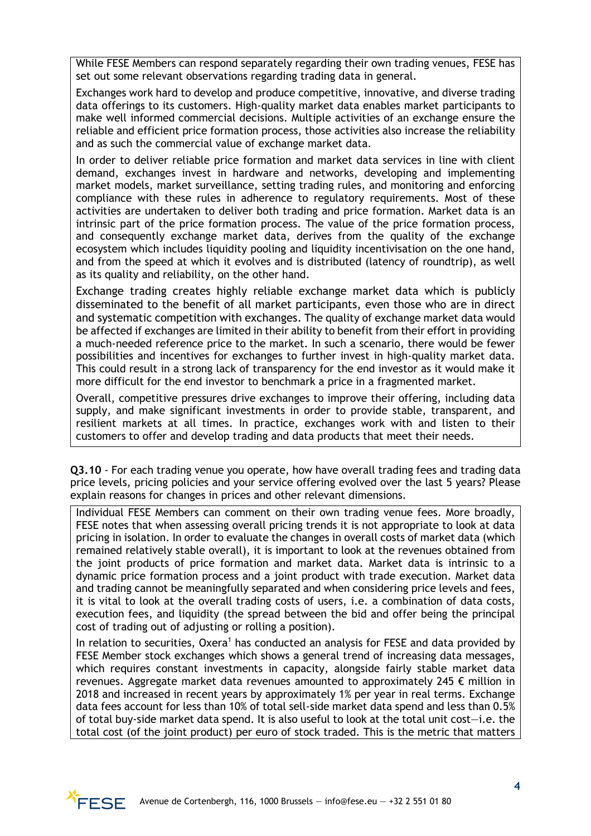While FESE Members can respond separately regarding their own trading venues, FESE has set out some relevant observations regarding trading data in general.

Exchanges work hard to develop and produce competitive, innovative, and diverse trading data offerings to its customers. High-quality market data enables market participants to make well informed commercial decisions. Multiple activities of an exchange ensure the reliable and efficient price formation process, those activities also increase the reliability and as such the commercial value of exchange market data.

In order to deliver reliable price formation and market data services in line with client demand, exchanges invest in hardware and networks, developing and implementing market models, market surveillance, setting trading rules, and monitoring and enforcing compliance with these rules in adherence to regulatory requirements. Most of these activities are undertaken to deliver both trading and price formation. Market data is an intrinsic part of the price formation process. The value of the price formation process, and consequently exchange market data, derives from the quality of the exchange ecosystem which includes liquidity pooling and liquidity incentivisation on the one hand, and from the speed at which it evolves and is distributed (latency of roundtrip), as well as its quality and reliability, on the other hand.

Exchange trading creates highly reliable exchange market data which is publicly disseminated to the benefit of all market participants, even those who are in direct and systematic competition with exchanges. The quality of exchange market data would be affected if exchanges are limited in their ability to benefit from their effort in providing a much-needed reference price to the market. In such a scenario, there would be fewer possibilities and incentives for exchanges to further invest in high-quality market data. This could result in a strong lack of transparency for the end investor as it would make it more difficult for the end investor to benchmark a price in a fragmented market.

Overall, competitive pressures drive exchanges to improve their offering, including data supply, and make significant investments in order to provide stable, transparent, and resilient markets at all times. In practice, exchanges work with and listen to their customers to offer and develop trading and data products that meet their needs.

**Q3.10** - For each trading venue you operate, how have overall trading fees and trading data price levels, pricing policies and your service offering evolved over the last 5 years? Please explain reasons for changes in prices and other relevant dimensions.

Individual FESE Members can comment on their own trading venue fees. More broadly, FESE notes that when assessing overall pricing trends it is not appropriate to look at data pricing in isolation. In order to evaluate the changes in overall costs of market data (which remained relatively stable overall), it is important to look at the revenues obtained from the joint products of price formation and market data. Market data is intrinsic to a dynamic price formation process and a joint product with trade execution. Market data and trading cannot be meaningfully separated and when considering price levels and fees, it is vital to look at the overall trading costs of users, i.e. a combination of data costs, execution fees, and liquidity (the spread between the bid and offer being the principal cost of trading out of adjusting or rolling a position).

In relation to securities,  $Oxera<sup>1</sup>$  has conducted an analysis for FESE and data provided by FESE Member stock exchanges which shows a general trend of increasing data messages, which requires constant investments in capacity, alongside fairly stable market data revenues. Aggregate market data revenues amounted to approximately 245  $\epsilon$  million in 2018 and increased in recent years by approximately 1% per year in real terms. Exchange data fees account for less than 10% of total sell-side market data spend and less than 0.5% of total buy-side market data spend. It is also useful to look at the total unit cost—i.e. the total cost (of the joint product) per euro of stock traded. This is the metric that matters

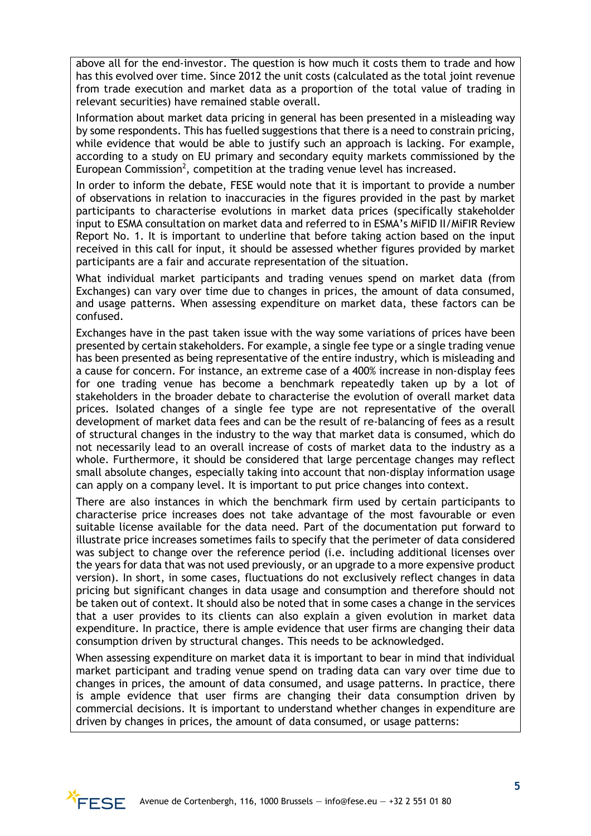above all for the end-investor. The question is how much it costs them to trade and how has this evolved over time. Since 2012 the unit costs (calculated as the total joint revenue from trade execution and market data as a proportion of the total value of trading in relevant securities) have remained stable overall.

Information about market data pricing in general has been presented in a misleading way by some respondents. This has fuelled suggestions that there is a need to constrain pricing, while evidence that would be able to justify such an approach is lacking. For example, according to a study on EU primary and secondary equity markets commissioned by the European Commission<sup>2</sup>, competition at the trading venue level has increased.

In order to inform the debate, FESE would note that it is important to provide a number of observations in relation to inaccuracies in the figures provided in the past by market participants to characterise evolutions in market data prices (specifically stakeholder input to ESMA consultation on market data and referred to in ESMA's MiFID II/MiFIR Review Report No. 1. It is important to underline that before taking action based on the input received in this call for input, it should be assessed whether figures provided by market participants are a fair and accurate representation of the situation.

What individual market participants and trading venues spend on market data (from Exchanges) can vary over time due to changes in prices, the amount of data consumed, and usage patterns. When assessing expenditure on market data, these factors can be confused.

Exchanges have in the past taken issue with the way some variations of prices have been presented by certain stakeholders. For example, a single fee type or a single trading venue has been presented as being representative of the entire industry, which is misleading and a cause for concern. For instance, an extreme case of a 400% increase in non-display fees for one trading venue has become a benchmark repeatedly taken up by a lot of stakeholders in the broader debate to characterise the evolution of overall market data prices. Isolated changes of a single fee type are not representative of the overall development of market data fees and can be the result of re-balancing of fees as a result of structural changes in the industry to the way that market data is consumed, which do not necessarily lead to an overall increase of costs of market data to the industry as a whole. Furthermore, it should be considered that large percentage changes may reflect small absolute changes, especially taking into account that non-display information usage can apply on a company level. It is important to put price changes into context.

There are also instances in which the benchmark firm used by certain participants to characterise price increases does not take advantage of the most favourable or even suitable license available for the data need. Part of the documentation put forward to illustrate price increases sometimes fails to specify that the perimeter of data considered was subject to change over the reference period (i.e. including additional licenses over the years for data that was not used previously, or an upgrade to a more expensive product version). In short, in some cases, fluctuations do not exclusively reflect changes in data pricing but significant changes in data usage and consumption and therefore should not be taken out of context. It should also be noted that in some cases a change in the services that a user provides to its clients can also explain a given evolution in market data expenditure. In practice, there is ample evidence that user firms are changing their data consumption driven by structural changes. This needs to be acknowledged.

When assessing expenditure on market data it is important to bear in mind that individual market participant and trading venue spend on trading data can vary over time due to changes in prices, the amount of data consumed, and usage patterns. In practice, there is ample evidence that user firms are changing their data consumption driven by commercial decisions. It is important to understand whether changes in expenditure are driven by changes in prices, the amount of data consumed, or usage patterns:

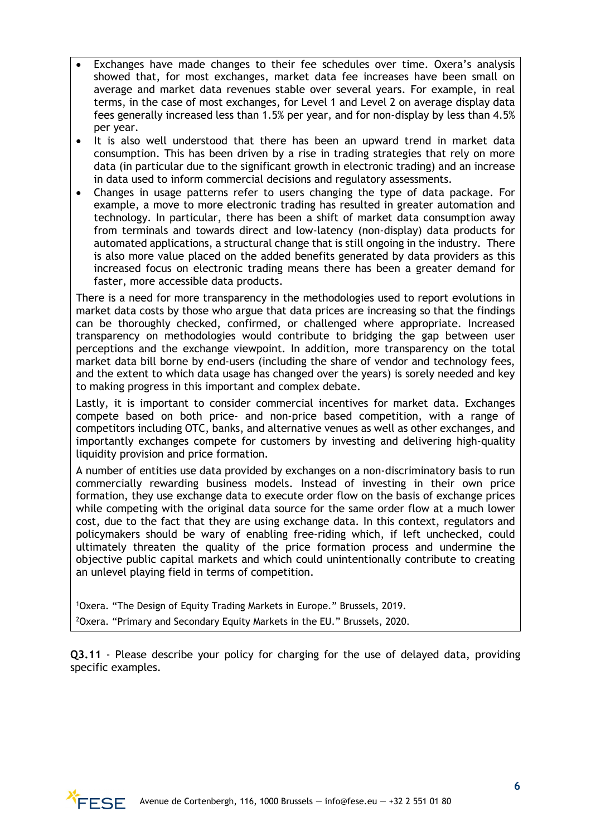- Exchanges have made changes to their fee schedules over time. Oxera's analysis showed that, for most exchanges, market data fee increases have been small on average and market data revenues stable over several years. For example, in real terms, in the case of most exchanges, for Level 1 and Level 2 on average display data fees generally increased less than 1.5% per year, and for non-display by less than 4.5% per year.
- It is also well understood that there has been an upward trend in market data consumption. This has been driven by a rise in trading strategies that rely on more data (in particular due to the significant growth in electronic trading) and an increase in data used to inform commercial decisions and regulatory assessments.
- Changes in usage patterns refer to users changing the type of data package. For example, a move to more electronic trading has resulted in greater automation and technology. In particular, there has been a shift of market data consumption away from terminals and towards direct and low-latency (non-display) data products for automated applications, a structural change that is still ongoing in the industry. There is also more value placed on the added benefits generated by data providers as this increased focus on electronic trading means there has been a greater demand for faster, more accessible data products.

There is a need for more transparency in the methodologies used to report evolutions in market data costs by those who argue that data prices are increasing so that the findings can be thoroughly checked, confirmed, or challenged where appropriate. Increased transparency on methodologies would contribute to bridging the gap between user perceptions and the exchange viewpoint. In addition, more transparency on the total market data bill borne by end-users (including the share of vendor and technology fees, and the extent to which data usage has changed over the years) is sorely needed and key to making progress in this important and complex debate.

Lastly, it is important to consider commercial incentives for market data. Exchanges compete based on both price- and non-price based competition, with a range of competitors including OTC, banks, and alternative venues as well as other exchanges, and importantly exchanges compete for customers by investing and delivering high-quality liquidity provision and price formation.

A number of entities use data provided by exchanges on a non-discriminatory basis to run commercially rewarding business models. Instead of investing in their own price formation, they use exchange data to execute order flow on the basis of exchange prices while competing with the original data source for the same order flow at a much lower cost, due to the fact that they are using exchange data. In this context, regulators and policymakers should be wary of enabling free-riding which, if left unchecked, could ultimately threaten the quality of the price formation process and undermine the objective public capital markets and which could unintentionally contribute to creating an unlevel playing field in terms of competition.

1 Oxera. "The Design of Equity Trading Markets in Europe." Brussels, 2019. 2 Oxera. "Primary and Secondary Equity Markets in the EU." Brussels, 2020.

**Q3.11** - Please describe your policy for charging for the use of delayed data, providing specific examples.

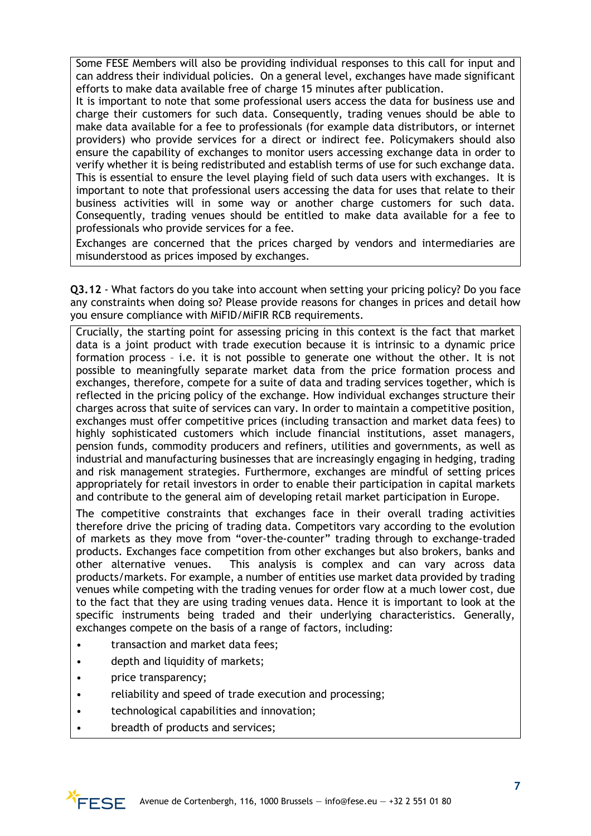Some FESE Members will also be providing individual responses to this call for input and can address their individual policies. On a general level, exchanges have made significant efforts to make data available free of charge 15 minutes after publication.

It is important to note that some professional users access the data for business use and charge their customers for such data. Consequently, trading venues should be able to make data available for a fee to professionals (for example data distributors, or internet providers) who provide services for a direct or indirect fee. Policymakers should also ensure the capability of exchanges to monitor users accessing exchange data in order to verify whether it is being redistributed and establish terms of use for such exchange data. This is essential to ensure the level playing field of such data users with exchanges. It is important to note that professional users accessing the data for uses that relate to their business activities will in some way or another charge customers for such data. Consequently, trading venues should be entitled to make data available for a fee to professionals who provide services for a fee.

Exchanges are concerned that the prices charged by vendors and intermediaries are misunderstood as prices imposed by exchanges.

**Q3.12** - What factors do you take into account when setting your pricing policy? Do you face any constraints when doing so? Please provide reasons for changes in prices and detail how you ensure compliance with MiFID/MiFIR RCB requirements.

Crucially, the starting point for assessing pricing in this context is the fact that market data is a joint product with trade execution because it is intrinsic to a dynamic price formation process – i.e. it is not possible to generate one without the other. It is not possible to meaningfully separate market data from the price formation process and exchanges, therefore, compete for a suite of data and trading services together, which is reflected in the pricing policy of the exchange. How individual exchanges structure their charges across that suite of services can vary. In order to maintain a competitive position, exchanges must offer competitive prices (including transaction and market data fees) to highly sophisticated customers which include financial institutions, asset managers, pension funds, commodity producers and refiners, utilities and governments, as well as industrial and manufacturing businesses that are increasingly engaging in hedging, trading and risk management strategies. Furthermore, exchanges are mindful of setting prices appropriately for retail investors in order to enable their participation in capital markets and contribute to the general aim of developing retail market participation in Europe.

The competitive constraints that exchanges face in their overall trading activities therefore drive the pricing of trading data. Competitors vary according to the evolution of markets as they move from "over-the-counter" trading through to exchange-traded products. Exchanges face competition from other exchanges but also brokers, banks and other alternative venues. This analysis is complex and can vary across data products/markets. For example, a number of entities use market data provided by trading venues while competing with the trading venues for order flow at a much lower cost, due to the fact that they are using trading venues data. Hence it is important to look at the specific instruments being traded and their underlying characteristics. Generally, exchanges compete on the basis of a range of factors, including:

- transaction and market data fees;
- depth and liquidity of markets;
- price transparency;
- reliability and speed of trade execution and processing;
- technological capabilities and innovation;
- breadth of products and services;

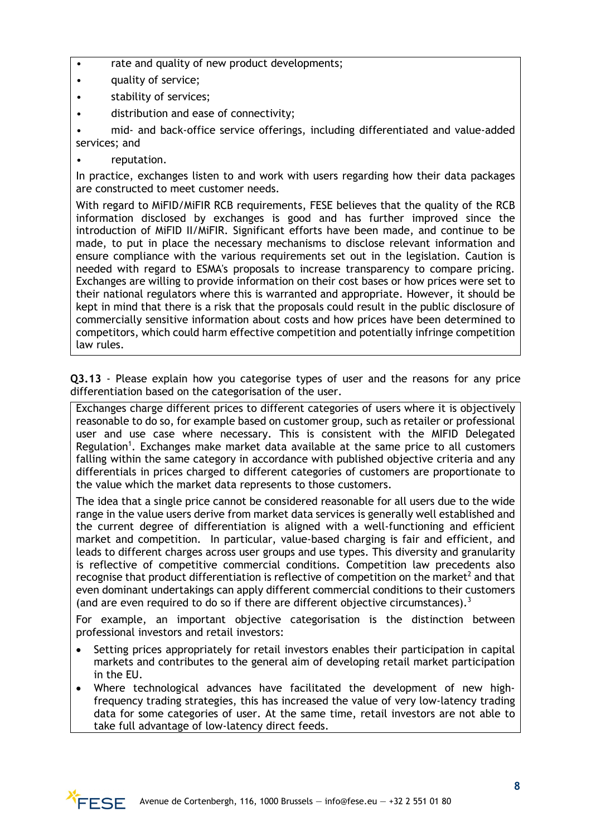- rate and quality of new product developments;
- quality of service;
- stability of services;
- distribution and ease of connectivity;

• mid- and back-office service offerings, including differentiated and value-added services; and

reputation.

In practice, exchanges listen to and work with users regarding how their data packages are constructed to meet customer needs.

With regard to MiFID/MiFIR RCB requirements, FESE believes that the quality of the RCB information disclosed by exchanges is good and has further improved since the introduction of MiFID II/MiFIR. Significant efforts have been made, and continue to be made, to put in place the necessary mechanisms to disclose relevant information and ensure compliance with the various requirements set out in the legislation. Caution is needed with regard to ESMA's proposals to increase transparency to compare pricing. Exchanges are willing to provide information on their cost bases or how prices were set to their national regulators where this is warranted and appropriate. However, it should be kept in mind that there is a risk that the proposals could result in the public disclosure of commercially sensitive information about costs and how prices have been determined to competitors, which could harm effective competition and potentially infringe competition law rules.

**Q3.13** - Please explain how you categorise types of user and the reasons for any price differentiation based on the categorisation of the user.

Exchanges charge different prices to different categories of users where it is objectively reasonable to do so, for example based on customer group, such as retailer or professional user and use case where necessary. This is consistent with the MIFID Delegated Regulation<sup>1</sup>. Exchanges make market data available at the same price to all customers falling within the same category in accordance with published objective criteria and any differentials in prices charged to different categories of customers are proportionate to the value which the market data represents to those customers.

The idea that a single price cannot be considered reasonable for all users due to the wide range in the value users derive from market data services is generally well established and the current degree of differentiation is aligned with a well-functioning and efficient market and competition. In particular, value-based charging is fair and efficient, and leads to different charges across user groups and use types. This diversity and granularity is reflective of competitive commercial conditions. Competition law precedents also recognise that product differentiation is reflective of competition on the market<sup>2</sup> and that even dominant undertakings can apply different commercial conditions to their customers (and are even required to do so if there are different objective circumstances).<sup>3</sup>

For example, an important objective categorisation is the distinction between professional investors and retail investors:

- Setting prices appropriately for retail investors enables their participation in capital markets and contributes to the general aim of developing retail market participation in the EU.
- Where technological advances have facilitated the development of new highfrequency trading strategies, this has increased the value of very low-latency trading data for some categories of user. At the same time, retail investors are not able to take full advantage of low-latency direct feeds.

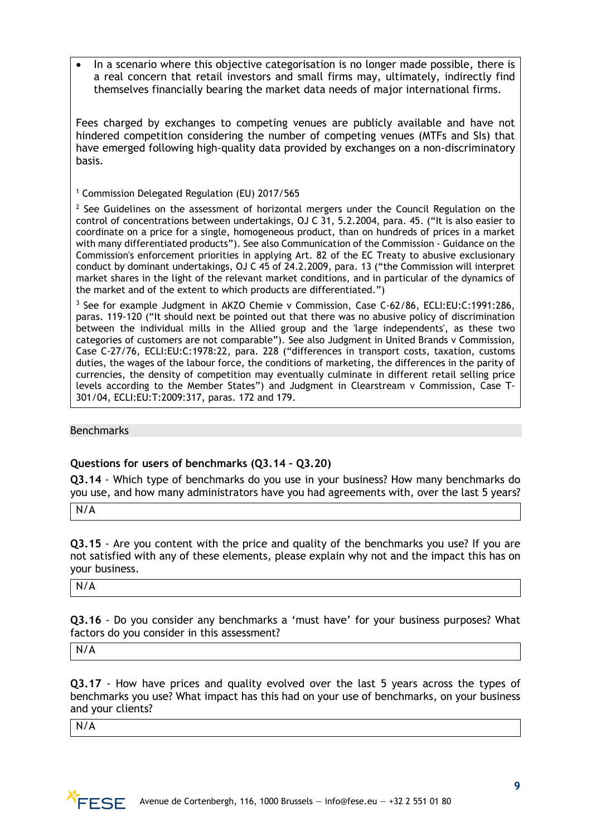• In a scenario where this objective categorisation is no longer made possible, there is a real concern that retail investors and small firms may, ultimately, indirectly find themselves financially bearing the market data needs of major international firms.

Fees charged by exchanges to competing venues are publicly available and have not hindered competition considering the number of competing venues (MTFs and SIs) that have emerged following high-quality data provided by exchanges on a non-discriminatory basis.

<sup>1</sup> Commission Delegated Regulation (EU) 2017/565

 $2$  See Guidelines on the assessment of horizontal mergers under the Council Regulation on the control of concentrations between undertakings, OJ C 31, 5.2.2004, para. 45. ("It is also easier to coordinate on a price for a single, homogeneous product, than on hundreds of prices in a market with many differentiated products"). See also Communication of the Commission - Guidance on the Commission's enforcement priorities in applying Art. 82 of the EC Treaty to abusive exclusionary conduct by dominant undertakings, OJ C 45 of 24.2.2009, para. 13 ("the Commission will interpret market shares in the light of the relevant market conditions, and in particular of the dynamics of the market and of the extent to which products are differentiated.")

<sup>3</sup> See for example Judgment in AKZO Chemie v Commission, Case C-62/86, ECLI:EU:C:1991:286, paras. 119-120 ("It should next be pointed out that there was no abusive policy of discrimination between the individual mills in the Allied group and the 'large independents', as these two categories of customers are not comparable"). See also Judgment in United Brands v Commission, Case C-27/76, ECLI:EU:C:1978:22, para. 228 ("differences in transport costs, taxation, customs duties, the wages of the labour force, the conditions of marketing, the differences in the parity of currencies, the density of competition may eventually culminate in different retail selling price levels according to the Member States") and Judgment in Clearstream v Commission, Case T-301/04, ECLI:EU:T:2009:317, paras. 172 and 179.

Benchmarks

# **Questions for users of benchmarks (Q3.14 – Q3.20)**

**Q3.14** - Which type of benchmarks do you use in your business? How many benchmarks do you use, and how many administrators have you had agreements with, over the last 5 years?

N/A

**Q3.15** - Are you content with the price and quality of the benchmarks you use? If you are not satisfied with any of these elements, please explain why not and the impact this has on your business.

N/A

**Q3.16** - Do you consider any benchmarks a 'must have' for your business purposes? What factors do you consider in this assessment?

N/A

**Q3.17** - How have prices and quality evolved over the last 5 years across the types of benchmarks you use? What impact has this had on your use of benchmarks, on your business and your clients?

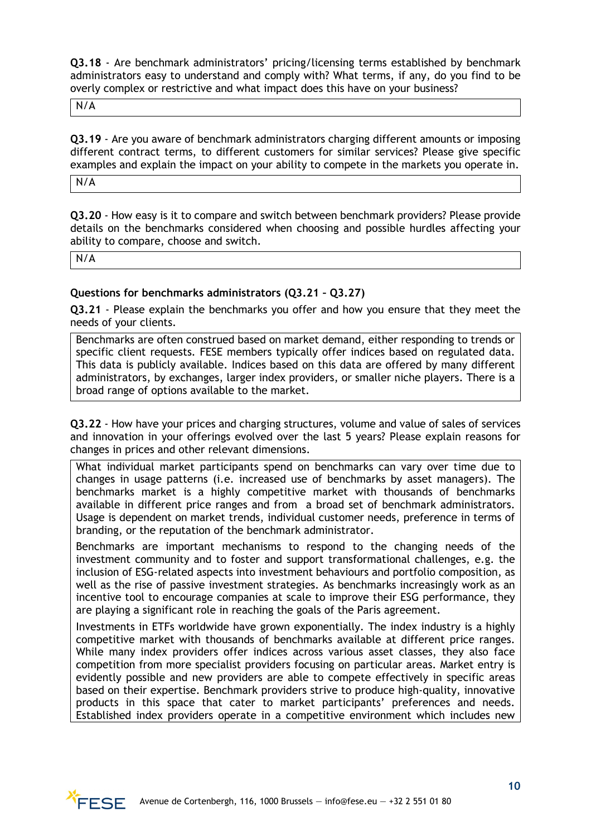**Q3.18** - Are benchmark administrators' pricing/licensing terms established by benchmark administrators easy to understand and comply with? What terms, if any, do you find to be overly complex or restrictive and what impact does this have on your business?

N/A

**Q3.19** - Are you aware of benchmark administrators charging different amounts or imposing different contract terms, to different customers for similar services? Please give specific examples and explain the impact on your ability to compete in the markets you operate in.

N/A

**Q3.20** - How easy is it to compare and switch between benchmark providers? Please provide details on the benchmarks considered when choosing and possible hurdles affecting your ability to compare, choose and switch.

N/A

## **Questions for benchmarks administrators (Q3.21 – Q3.27)**

**Q3.21** - Please explain the benchmarks you offer and how you ensure that they meet the needs of your clients.

Benchmarks are often construed based on market demand, either responding to trends or specific client requests. FESE members typically offer indices based on regulated data. This data is publicly available. Indices based on this data are offered by many different administrators, by exchanges, larger index providers, or smaller niche players. There is a broad range of options available to the market.

**Q3.22** - How have your prices and charging structures, volume and value of sales of services and innovation in your offerings evolved over the last 5 years? Please explain reasons for changes in prices and other relevant dimensions.

What individual market participants spend on benchmarks can vary over time due to changes in usage patterns (i.e. increased use of benchmarks by asset managers). The benchmarks market is a highly competitive market with thousands of benchmarks available in different price ranges and from a broad set of benchmark administrators. Usage is dependent on market trends, individual customer needs, preference in terms of branding, or the reputation of the benchmark administrator.

Benchmarks are important mechanisms to respond to the changing needs of the investment community and to foster and support transformational challenges, e.g. the inclusion of ESG-related aspects into investment behaviours and portfolio composition, as well as the rise of passive investment strategies. As benchmarks increasingly work as an incentive tool to encourage companies at scale to improve their ESG performance, they are playing a significant role in reaching the goals of the Paris agreement.

Investments in ETFs worldwide have grown exponentially. The index industry is a highly competitive market with thousands of benchmarks available at different price ranges. While many index providers offer indices across various asset classes, they also face competition from more specialist providers focusing on particular areas. Market entry is evidently possible and new providers are able to compete effectively in specific areas based on their expertise. Benchmark providers strive to produce high-quality, innovative products in this space that cater to market participants' preferences and needs. Established index providers operate in a competitive environment which includes new

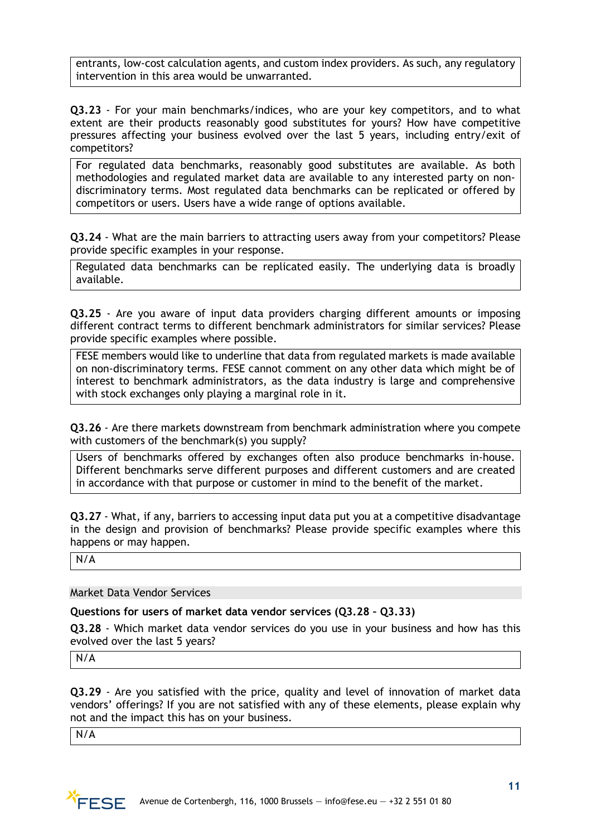entrants, low-cost calculation agents, and custom index providers. As such, any regulatory intervention in this area would be unwarranted.

**Q3.23** - For your main benchmarks/indices, who are your key competitors, and to what extent are their products reasonably good substitutes for yours? How have competitive pressures affecting your business evolved over the last 5 years, including entry/exit of competitors?

For regulated data benchmarks, reasonably good substitutes are available. As both methodologies and regulated market data are available to any interested party on nondiscriminatory terms. Most regulated data benchmarks can be replicated or offered by competitors or users. Users have a wide range of options available.

**Q3.24** - What are the main barriers to attracting users away from your competitors? Please provide specific examples in your response.

Regulated data benchmarks can be replicated easily. The underlying data is broadly available.

**Q3.25** - Are you aware of input data providers charging different amounts or imposing different contract terms to different benchmark administrators for similar services? Please provide specific examples where possible.

FESE members would like to underline that data from regulated markets is made available on non-discriminatory terms. FESE cannot comment on any other data which might be of interest to benchmark administrators, as the data industry is large and comprehensive with stock exchanges only playing a marginal role in it.

**Q3.26** - Are there markets downstream from benchmark administration where you compete with customers of the benchmark(s) you supply?

Users of benchmarks offered by exchanges often also produce benchmarks in-house. Different benchmarks serve different purposes and different customers and are created in accordance with that purpose or customer in mind to the benefit of the market.

**Q3.27** - What, if any, barriers to accessing input data put you at a competitive disadvantage in the design and provision of benchmarks? Please provide specific examples where this happens or may happen.

N/A

Market Data Vendor Services

**Questions for users of market data vendor services (Q3.28 – Q3.33)**

**Q3.28** - Which market data vendor services do you use in your business and how has this evolved over the last 5 years?

N/A

**Q3.29** - Are you satisfied with the price, quality and level of innovation of market data vendors' offerings? If you are not satisfied with any of these elements, please explain why not and the impact this has on your business.

 $N/\overline{A}$ 

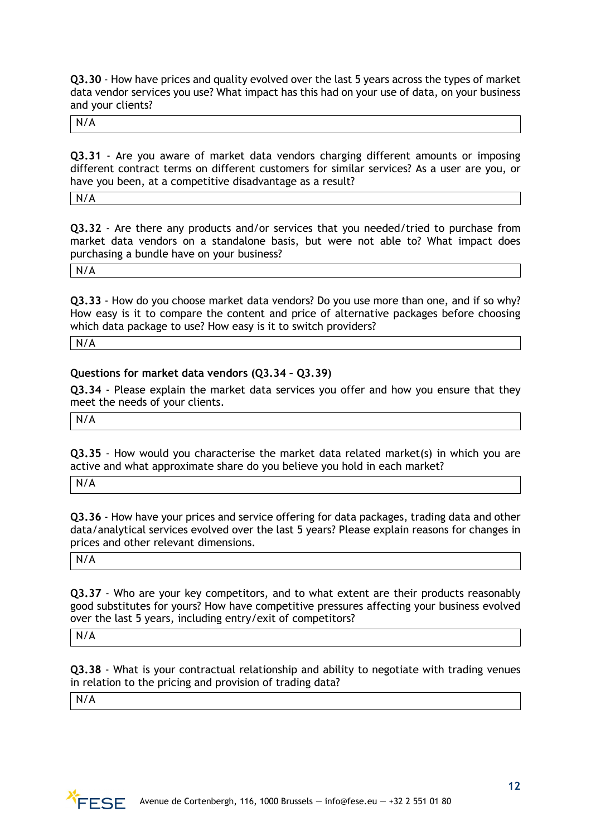**Q3.30** - How have prices and quality evolved over the last 5 years across the types of market data vendor services you use? What impact has this had on your use of data, on your business and your clients?

N/A

**Q3.31** - Are you aware of market data vendors charging different amounts or imposing different contract terms on different customers for similar services? As a user are you, or have you been, at a competitive disadvantage as a result?

N/A

**Q3.32** - Are there any products and/or services that you needed/tried to purchase from market data vendors on a standalone basis, but were not able to? What impact does purchasing a bundle have on your business?

N/A

**Q3.33** - How do you choose market data vendors? Do you use more than one, and if so why? How easy is it to compare the content and price of alternative packages before choosing which data package to use? How easy is it to switch providers?

N/A

#### **Questions for market data vendors (Q3.34 – Q3.39)**

**Q3.34** - Please explain the market data services you offer and how you ensure that they meet the needs of your clients.

N/A

**Q3.35** - How would you characterise the market data related market(s) in which you are active and what approximate share do you believe you hold in each market?

N/A

**Q3.36** - How have your prices and service offering for data packages, trading data and other data/analytical services evolved over the last 5 years? Please explain reasons for changes in prices and other relevant dimensions.

N/A

**Q3.37** - Who are your key competitors, and to what extent are their products reasonably good substitutes for yours? How have competitive pressures affecting your business evolved over the last 5 years, including entry/exit of competitors?

N/A

**Q3.38** - What is your contractual relationship and ability to negotiate with trading venues in relation to the pricing and provision of trading data?

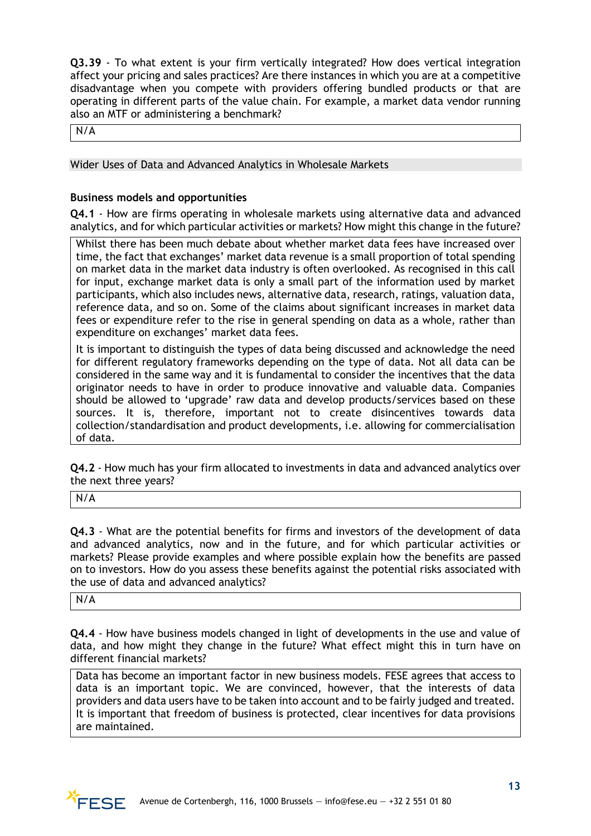**Q3.39** - To what extent is your firm vertically integrated? How does vertical integration affect your pricing and sales practices? Are there instances in which you are at a competitive disadvantage when you compete with providers offering bundled products or that are operating in different parts of the value chain. For example, a market data vendor running also an MTF or administering a benchmark?

N/A

# Wider Uses of Data and Advanced Analytics in Wholesale Markets

## **Business models and opportunities**

**Q4.1** - How are firms operating in wholesale markets using alternative data and advanced analytics, and for which particular activities or markets? How might this change in the future?

Whilst there has been much debate about whether market data fees have increased over time, the fact that exchanges' market data revenue is a small proportion of total spending on market data in the market data industry is often overlooked. As recognised in this call for input, exchange market data is only a small part of the information used by market participants, which also includes news, alternative data, research, ratings, valuation data, reference data, and so on. Some of the claims about significant increases in market data fees or expenditure refer to the rise in general spending on data as a whole, rather than expenditure on exchanges' market data fees.

It is important to distinguish the types of data being discussed and acknowledge the need for different regulatory frameworks depending on the type of data. Not all data can be considered in the same way and it is fundamental to consider the incentives that the data originator needs to have in order to produce innovative and valuable data. Companies should be allowed to 'upgrade' raw data and develop products/services based on these sources. It is, therefore, important not to create disincentives towards data collection/standardisation and product developments, i.e. allowing for commercialisation of data.

**Q4.2** - How much has your firm allocated to investments in data and advanced analytics over the next three years?

N/A

**Q4.3** - What are the potential benefits for firms and investors of the development of data and advanced analytics, now and in the future, and for which particular activities or markets? Please provide examples and where possible explain how the benefits are passed on to investors. How do you assess these benefits against the potential risks associated with the use of data and advanced analytics?

N/A

**Q4.4** - How have business models changed in light of developments in the use and value of data, and how might they change in the future? What effect might this in turn have on different financial markets?

Data has become an important factor in new business models. FESE agrees that access to data is an important topic. We are convinced, however, that the interests of data providers and data users have to be taken into account and to be fairly judged and treated. It is important that freedom of business is protected, clear incentives for data provisions are maintained.

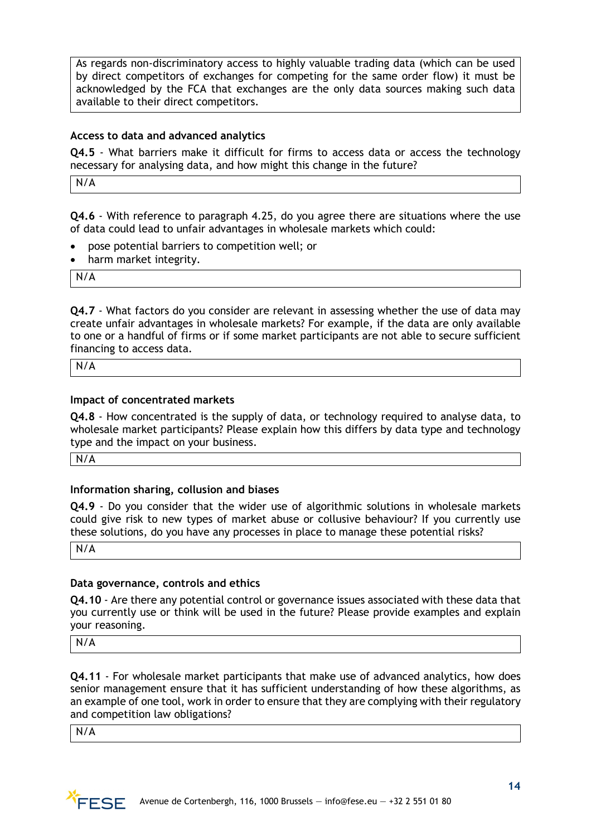As regards non-discriminatory access to highly valuable trading data (which can be used by direct competitors of exchanges for competing for the same order flow) it must be acknowledged by the FCA that exchanges are the only data sources making such data available to their direct competitors.

# **Access to data and advanced analytics**

**Q4.5** - What barriers make it difficult for firms to access data or access the technology necessary for analysing data, and how might this change in the future?

N/A

**Q4.6** - With reference to paragraph 4.25, do you agree there are situations where the use of data could lead to unfair advantages in wholesale markets which could:

- pose potential barriers to competition well; or
- harm market integrity.

N/A

**Q4.7** - What factors do you consider are relevant in assessing whether the use of data may create unfair advantages in wholesale markets? For example, if the data are only available to one or a handful of firms or if some market participants are not able to secure sufficient financing to access data.

N/A

#### **Impact of concentrated markets**

**Q4.8** - How concentrated is the supply of data, or technology required to analyse data, to wholesale market participants? Please explain how this differs by data type and technology type and the impact on your business.

N/A

#### **Information sharing, collusion and biases**

**Q4.9** - Do you consider that the wider use of algorithmic solutions in wholesale markets could give risk to new types of market abuse or collusive behaviour? If you currently use these solutions, do you have any processes in place to manage these potential risks?

N/A

#### **Data governance, controls and ethics**

**Q4.10** - Are there any potential control or governance issues associated with these data that you currently use or think will be used in the future? Please provide examples and explain your reasoning.

N/A

**Q4.11** - For wholesale market participants that make use of advanced analytics, how does senior management ensure that it has sufficient understanding of how these algorithms, as an example of one tool, work in order to ensure that they are complying with their regulatory and competition law obligations?